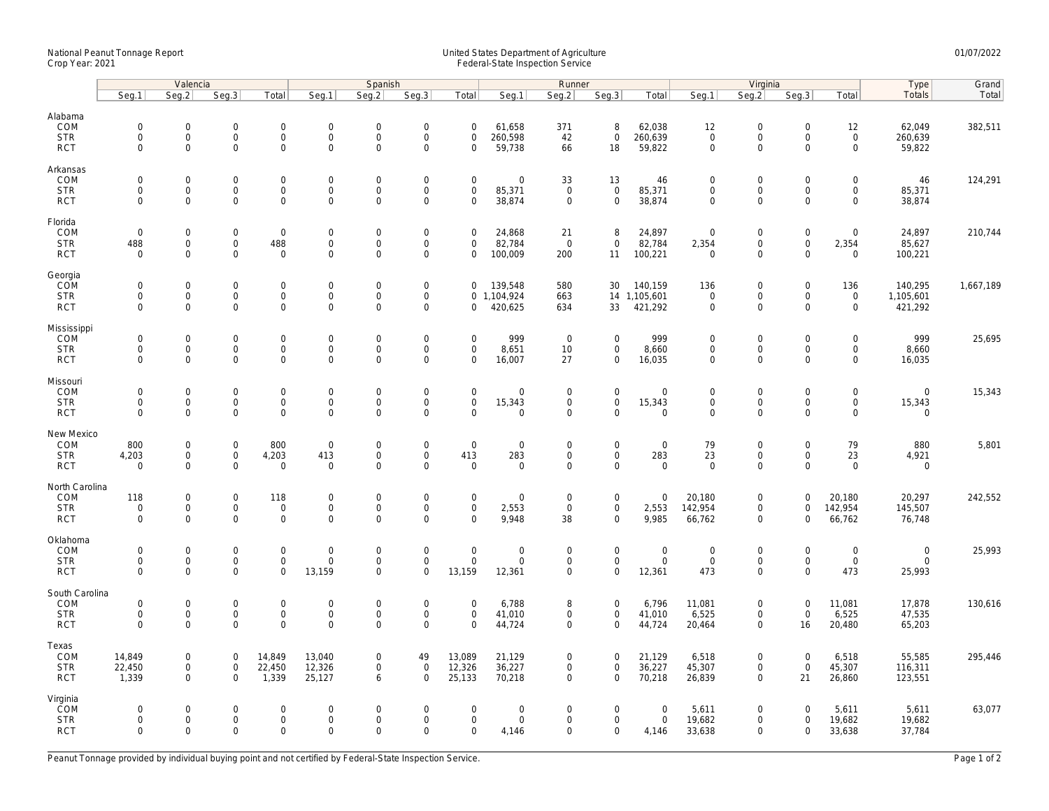## National Peanut Tonnage Report United States Department of Agriculture 01/07/2022 Crop Year: 2021 Federal-State Inspection Service

|                                                    | Valencia                                                  |                                         |                                                         |                                                            | Spanish                                             |                                           |                                                           |                                                   |                                                      | Runner                                    |                                                    |                                           | Virginia                                          |                                                           |                                                        |                                                   | Type                                 | Grand     |
|----------------------------------------------------|-----------------------------------------------------------|-----------------------------------------|---------------------------------------------------------|------------------------------------------------------------|-----------------------------------------------------|-------------------------------------------|-----------------------------------------------------------|---------------------------------------------------|------------------------------------------------------|-------------------------------------------|----------------------------------------------------|-------------------------------------------|---------------------------------------------------|-----------------------------------------------------------|--------------------------------------------------------|---------------------------------------------------|--------------------------------------|-----------|
|                                                    | Seg.1                                                     | Seg.2                                   | Seg.3                                                   | Total                                                      | Seg.1                                               | Seq.2                                     | Seg.3                                                     | Total                                             | Seg.1                                                | Seg.2                                     | Seg.3                                              | Total                                     | Seg.1                                             | Seg.2                                                     | Seg.3                                                  | Total                                             | <b>Totals</b>                        | Total     |
| Alabama<br>COM<br><b>STR</b><br><b>RCT</b>         | $\mathsf{O}\xspace$<br>$\mathsf{O}\xspace$<br>$\Omega$    | 0<br>$\mathsf{O}\xspace$<br>$\Omega$    | $\mathbf 0$<br>$\mathsf 0$<br>$\mathbf 0$               | $\mathbf 0$<br>$\mathbf 0$<br>$\mathbf 0$                  | $\mathbf 0$<br>$\mathbf 0$<br>$\mathsf{O}\xspace$   | $\mathbf 0$<br>$\mathbf 0$<br>$\Omega$    | $\mathbf 0$<br>$\mathsf 0$<br>$\Omega$                    | $\mathbf 0$<br>$\mathbf 0$<br>$\Omega$            | 61,658<br>260,598<br>59,738                          | 371<br>42<br>66                           | 8<br>$\mathbf 0$<br>18                             | 62,038<br>260,639<br>59,822               | 12<br>$\mathsf{O}\xspace$<br>$\mathbf 0$          | $\mathbf 0$<br>$\mathbf 0$<br>$\mathbf 0$                 | $\mathsf{O}\xspace$<br>$\mathsf{O}\xspace$<br>$\Omega$ | 12<br>$\mathsf{O}\xspace$<br>$\Omega$             | 62,049<br>260,639<br>59,822          | 382,511   |
| Arkansas<br>COM<br><b>STR</b><br><b>RCT</b>        | $\mathsf{O}\xspace$<br>$\mathsf{O}\xspace$<br>$\Omega$    | 0<br>0<br>$\Omega$                      | $\overline{0}$<br>$\mathsf{O}\xspace$<br>$\overline{0}$ | $\mathbf 0$<br>$\mathbf 0$<br>$\mathbf{0}$                 | $\mathbf 0$<br>$\mathbf 0$<br>$\mathbf 0$           | $\mathbf 0$<br>$\mathbf 0$<br>$\Omega$    | $\mathbf 0$<br>$\mathsf{O}\xspace$<br>$\mathbf 0$         | $\mathbf 0$<br>$\mathbf 0$<br>$\Omega$            | $\mathbf 0$<br>85,371<br>38,874                      | 33<br>$\mathsf 0$<br>$\mathbf 0$          | 13<br>$\mathbf 0$<br>$\mathbf{0}$                  | 46<br>85,371<br>38,874                    | $\mathbf 0$<br>$\mathsf{O}\xspace$<br>$\mathbf 0$ | $\mathbf 0$<br>$\mathbf 0$<br>$\mathbf 0$                 | $\mathbf 0$<br>$\mathsf{O}\xspace$<br>$\Omega$         | 0<br>$\mathsf{O}\xspace$<br>$\Omega$              | 46<br>85,371<br>38,874               | 124,291   |
| Florida<br>COM<br><b>STR</b><br><b>RCT</b>         | $\mathbf 0$<br>488<br>$\mathbf 0$                         | 0<br>$\mathsf{O}\xspace$<br>$\mathbf 0$ | $\overline{0}$<br>$\mathsf{O}\xspace$<br>$\mathbf{0}$   | $\mathbf 0$<br>488<br>$\mathbf{0}$                         | $\mathbf 0$<br>$\mathbf 0$<br>$\mathbf 0$           | $\mathbf 0$<br>$\mathbf 0$<br>$\mathbf 0$ | $\mathsf{O}\xspace$<br>$\mathsf{O}\xspace$<br>$\mathbf 0$ | $\mathbf 0$<br>$\mathbf 0$<br>$\mathbf 0$         | 24,868<br>82,784<br>100,009                          | 21<br>$\mathbf 0$<br>200                  | 8<br>$\mathbf 0$<br>11                             | 24,897<br>82,784<br>100,221               | $\mathbf 0$<br>2,354<br>$\overline{0}$            | $\mathsf{O}\xspace$<br>$\mathbf 0$<br>$\mathbf 0$         | $\mathsf{O}\xspace$<br>$\mathsf{O}\xspace$<br>$\Omega$ | $\mathbf 0$<br>2,354<br>$\mathbf 0$               | 24,897<br>85,627<br>100,221          | 210,744   |
| Georgia<br>COM<br><b>STR</b><br><b>RCT</b>         | $\mathbf 0$<br>$\mathsf{O}\xspace$<br>$\mathbf 0$         | $\mathbf 0$<br>$\mathsf{O}\xspace$<br>0 | $\mathbf 0$<br>$\mathbf 0$<br>$\mathsf{O}\xspace$       | $\mathbf 0$<br>$\mathbf 0$<br>$\mathbf 0$                  | $\boldsymbol{0}$<br>$\mathbf 0$<br>$\mathbf 0$      | $\mathbf 0$<br>$\mathbf 0$<br>$\mathbf 0$ | $\mathsf{O}\xspace$<br>$\mathsf{O}\xspace$<br>$\mathbf 0$ | $\mathbf 0$<br>$\mathbf 0$                        | 139,548<br>0 1,104,924<br>420,625                    | 580<br>663<br>634                         | 30<br>33                                           | 140,159<br>14 1,105,601<br>421,292        | 136<br>$\mathsf{O}\xspace$<br>$\mathsf{O}\xspace$ | $\mathsf{O}\xspace$<br>$\mathbf 0$<br>$\mathbf 0$         | $\mathbf 0$<br>$\mathsf{O}\xspace$<br>$\mathbf 0$      | 136<br>$\mathsf{O}\xspace$<br>$\mathbf 0$         | 140,295<br>1,105,601<br>421,292      | 1,667,189 |
| Mississippi<br>COM<br><b>STR</b><br><b>RCT</b>     | $\mathsf{O}\xspace$<br>$\mathbf 0$<br>$\mathbf 0$         | 0<br>0<br>$\mathbf 0$                   | $\mathbf 0$<br>$\mathbf 0$<br>$\mathsf{O}\xspace$       | $\mathbf 0$<br>$\mathbf 0$<br>$\mathbf 0$                  | $\mathbf 0$<br>$\mathbf 0$<br>$\mathbf 0$           | $\mathbf 0$<br>$\mathbf 0$<br>$\Omega$    | $\mathsf{O}\xspace$<br>$\mathsf{O}\xspace$<br>$\mathbf 0$ | $\mathbf 0$<br>$\mathbf 0$<br>$\mathbf 0$         | 999<br>8,651<br>16,007                               | $\mathbf 0$<br>10<br>27                   | $\mathbf 0$<br>$\mathbf 0$<br>$\mathbf 0$          | 999<br>8,660<br>16,035                    | $\mathbf 0$<br>$\mathsf{O}\xspace$<br>$\mathbf 0$ | $\mathbf 0$<br>$\mathsf{O}\xspace$<br>$\mathbf 0$         | $\mathbf 0$<br>$\mathsf{O}\xspace$<br>$\mathbf 0$      | 0<br>$\mathbf 0$<br>$\mathbf 0$                   | 999<br>8,660<br>16,035               | 25,695    |
| Missouri<br>COM<br><b>STR</b><br><b>RCT</b>        | $\mathsf{O}\xspace$<br>$\mathbf 0$<br>$\mathbf 0$         | 0<br>0<br>$\mathbf 0$                   | $\mathbf 0$<br>$\mathsf 0$<br>$\mathsf 0$               | $\mathbf 0$<br>$\mathsf{O}$<br>$\mathbf{0}$                | $\mathbf 0$<br>$\mathsf{O}\xspace$<br>$\mathbf{0}$  | $\mathbf 0$<br>$\mathbf 0$<br>$\mathbf 0$ | $\mathsf{O}\xspace$<br>$\mathsf{O}\xspace$<br>$\mathbf 0$ | $\mathbf 0$<br>$\mathbf 0$<br>$\Omega$            | $\mathsf{O}\xspace$<br>15,343<br>$\mathbf 0$         | $\mathbf 0$<br>$\mathbf 0$<br>$\mathbf 0$ | $\mathbf 0$<br>$\mathsf{O}\xspace$<br>$\mathbf{0}$ | $\overline{0}$<br>15,343<br>$\mathsf 0$   | $\mathbf 0$<br>$\mathbf{0}$<br>$\mathbf 0$        | $\mathbf 0$<br>$\mathsf{O}\xspace$<br>$\mathbf 0$         | $\mathbf 0$<br>$\mathbf 0$<br>$\mathbf 0$              | $\mathbf 0$<br>$\mathsf{O}\xspace$<br>$\mathbf 0$ | $\mathbf 0$<br>15,343<br>$\mathbf 0$ | 15,343    |
| New Mexico<br>COM<br><b>STR</b><br><b>RCT</b>      | 800<br>4,203<br>$\mathbf 0$                               | 0<br>$\mathsf{O}\xspace$<br>$\mathbf 0$ | $\mathbf 0$<br>$\mathbf 0$<br>$\mathbf 0$               | 800<br>4,203<br>$\mathsf 0$                                | $\mathbf 0$<br>413<br>$\mathbf 0$                   | $\mathbf 0$<br>$\mathbf 0$<br>$\mathbf 0$ | $\mathsf{O}\xspace$<br>$\mathsf 0$<br>$\mathbf 0$         | $\mathbf 0$<br>413<br>$\mathbf 0$                 | $\mathbf 0$<br>283<br>$\mathbf 0$                    | $\mathbf 0$<br>$\mathbf 0$<br>$\mathbf 0$ | $\mathbf 0$<br>$\mathbf{0}$<br>$\mathbf 0$         | $\mathbf 0$<br>283<br>$\mathbf 0$         | 79<br>23<br>$\mathbf 0$                           | $\mathsf{O}\xspace$<br>$\mathbf 0$<br>$\mathbf 0$         | $\mathbf 0$<br>$\mathbf 0$<br>$\mathbf 0$              | 79<br>23<br>$\mathbf 0$                           | 880<br>4,921<br>$\mathbf 0$          | 5,801     |
| North Carolina<br>COM<br><b>STR</b><br><b>RCT</b>  | 118<br>$\mathsf{O}\xspace$<br>$\Omega$                    | 0<br>0<br>$\Omega$                      | $\mathbf 0$<br>$\mathsf 0$<br>$\Omega$                  | 118<br>$\mathsf 0$<br>$\mathbf 0$                          | $\boldsymbol{0}$<br>$\mathsf{O}\xspace$<br>$\Omega$ | $\mathbf 0$<br>$\mathbf 0$<br>$\Omega$    | $\mathsf{O}\xspace$<br>$\mathsf{O}\xspace$<br>$\Omega$    | $\mathbf 0$<br>$\mathbf 0$<br>$\Omega$            | $\mathsf{O}\xspace$<br>2,553<br>9,948                | $\mathbf 0$<br>$\mathbf 0$<br>38          | $\mathbf 0$<br>$\mathbf 0$<br>$\mathbf 0$          | $\mathbf 0$<br>2,553<br>9,985             | 20,180<br>142,954<br>66,762                       | $\mathbf 0$<br>$\mathbf 0$<br>$\mathbf 0$                 | $\mathbf 0$<br>$\mathbf 0$<br>$\Omega$                 | 20,180<br>142,954<br>66,762                       | 20,297<br>145,507<br>76,748          | 242,552   |
| Oklahoma<br>COM<br><b>STR</b><br><b>RCT</b>        | $\mathsf{O}\xspace$<br>$\mathbf 0$<br>$\Omega$            | 0<br>0<br>$\Omega$                      | $\mathsf 0$<br>$\mathsf 0$<br>$\mathbf 0$               | $\mathbf 0$<br>$\mathsf{O}\xspace$<br>$\Omega$             | $\mathbf 0$<br>$\mathbf 0$<br>13,159                | $\mathbf 0$<br>$\mathbf 0$<br>$\Omega$    | $\mathsf{O}\xspace$<br>$\mathsf{O}\xspace$<br>$\Omega$    | $\mathbf 0$<br>$\mathbf 0$<br>13,159              | $\mathsf{O}\xspace$<br>$\mathsf{O}\xspace$<br>12,361 | $\mathbf 0$<br>0<br>$\mathbf 0$           | $\mathbf 0$<br>$\mathsf{O}\xspace$<br>$\mathbf 0$  | $\mathbf 0$<br>$\boldsymbol{0}$<br>12,361 | $\mathbf 0$<br>$\mathbf 0$<br>473                 | $\mathbf 0$<br>$\mathsf{O}\xspace$<br>$\mathbf 0$         | $\mathbf 0$<br>$\mathbf 0$<br>$\Omega$                 | $\mathsf{O}\xspace$<br>$\mathsf{O}\xspace$<br>473 | $\mathbf 0$<br>$\mathbf 0$<br>25,993 | 25,993    |
| South Carolina<br>COM<br><b>STR</b><br><b>RCT</b>  | $\mathsf{O}\xspace$<br>$\mathsf{O}\xspace$<br>$\mathbf 0$ | 0<br>$\mathsf{O}\xspace$<br>$\mathbf 0$ | $\mathsf{O}\xspace$<br>$\mathsf 0$<br>$\mathbf 0$       | $\mathsf{O}\xspace$<br>$\mathsf{O}\xspace$<br>$\mathsf{O}$ | $\mathbf 0$<br>$\mathsf{O}\xspace$<br>$\mathbf{0}$  | $\mathbf 0$<br>$\mathbf 0$<br>$\Omega$    | $\mathsf{O}\xspace$<br>$\mathsf{O}\xspace$<br>$\mathbf 0$ | $\mathbf 0$<br>$\mathsf{O}\xspace$<br>$\mathbf 0$ | 6,788<br>41,010<br>44,724                            | 8<br>0<br>$\mathbf 0$                     | $\mathbf 0$<br>$\mathsf{O}\xspace$<br>$\mathbf 0$  | 6,796<br>41,010<br>44,724                 | 11,081<br>6,525<br>20,464                         | $\mathsf{O}\xspace$<br>$\mathsf{O}\xspace$<br>$\mathbf 0$ | $\mathsf{O}\xspace$<br>$\mathsf{O}\xspace$<br>16       | 11,081<br>6,525<br>20,480                         | 17,878<br>47,535<br>65,203           | 130,616   |
| Texas<br>COM<br><b>STR</b><br><b>RCT</b>           | 14,849<br>22,450<br>1,339                                 | $\mathbf 0$<br>0<br>$\mathbf 0$         | $\overline{0}$<br>$\mathbf 0$<br>$\mathbf 0$            | 14,849<br>22,450<br>1,339                                  | 13,040<br>12,326<br>25,127                          | $\mathbf 0$<br>$\mathbf 0$<br>6           | 49<br>$\mathsf{O}\xspace$<br>$\mathbf 0$                  | 13,089<br>12,326<br>25,133                        | 21,129<br>36,227<br>70,218                           | $\mathbf 0$<br>0<br>$\mathbf 0$           | $\mathbf 0$<br>$\mathbf 0$<br>$\mathbf 0$          | 21,129<br>36,227<br>70,218                | 6,518<br>45,307<br>26,839                         | $\mathbf 0$<br>$\mathbf 0$<br>$\mathbf 0$                 | $\mathbf 0$<br>$\mathsf{O}\xspace$<br>21               | 6,518<br>45,307<br>26,860                         | 55,585<br>116,311<br>123,551         | 295,446   |
| Virginia<br><b>ČOM</b><br><b>STR</b><br><b>RCT</b> | $\mathbf 0$<br>$\mathsf{O}\xspace$<br>$\Omega$            | 0<br>0<br>$\mathbf 0$                   | $\mathbf 0$<br>$\overline{0}$<br>$\mathbf 0$            | $\mathsf 0$<br>$\mathbf 0$<br>$\mathbf 0$                  | $\mathbf 0$<br>$\mathbf 0$<br>$\mathbf 0$           | $\mathbf 0$<br>$\mathbf 0$<br>$\Omega$    | $\mathbf 0$<br>$\mathsf{O}\xspace$<br>$\Omega$            | $\mathbf 0$<br>$\mathbf 0$<br>$\Omega$            | $\mathsf{O}\xspace$<br>$\mathbf 0$<br>4,146          | $\mathbf 0$<br>0<br>$\mathbf 0$           | $\mathbf 0$<br>$\mathbf 0$<br>$\mathbf 0$          | $\mathbf 0$<br>$\mathsf{O}$<br>4,146      | 5,611<br>19,682<br>33,638                         | $\mathbf 0$<br>$\mathsf{O}\xspace$<br>$\mathbf 0$         | $\mathbf 0$<br>$\mathbf 0$<br>$\mathbf 0$              | 5,611<br>19,682<br>33,638                         | 5,611<br>19,682<br>37,784            | 63,077    |

Peanut Tonnage provided by individual buying point and not certified by Federal-State Inspection Service. Page 1 of 2